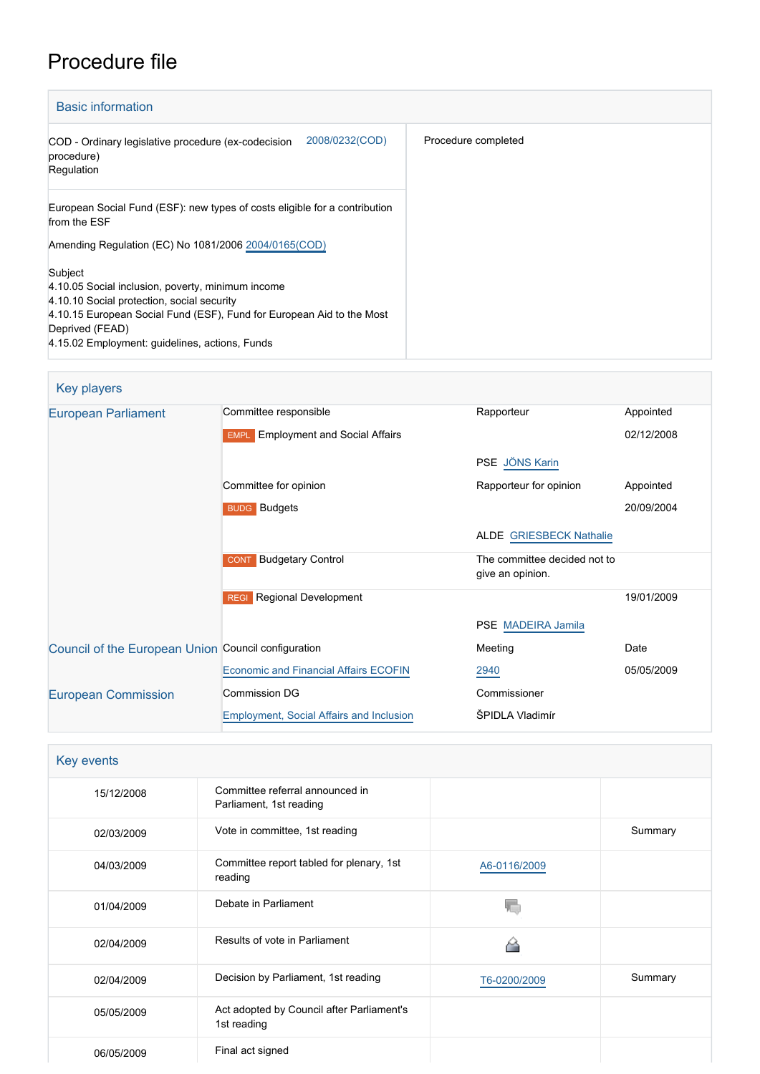# Procedure file

| <b>Basic information</b>                                                                                                                                                                                                                                 |                     |  |
|----------------------------------------------------------------------------------------------------------------------------------------------------------------------------------------------------------------------------------------------------------|---------------------|--|
| 2008/0232(COD)<br>COD - Ordinary legislative procedure (ex-codecision<br>procedure)<br>Regulation                                                                                                                                                        | Procedure completed |  |
| European Social Fund (ESF): new types of costs eligible for a contribution<br>from the ESF<br>Amending Regulation (EC) No 1081/2006 2004/0165(COD)                                                                                                       |                     |  |
| Subject<br>4.10.05 Social inclusion, poverty, minimum income<br>4.10.10 Social protection, social security<br>4.10.15 European Social Fund (ESF), Fund for European Aid to the Most<br>Deprived (FEAD)<br>4.15.02 Employment: guidelines, actions, Funds |                     |  |

| Key players                                         |                                                     |                                                  |            |
|-----------------------------------------------------|-----------------------------------------------------|--------------------------------------------------|------------|
| <b>European Parliament</b>                          | Committee responsible                               | Rapporteur                                       | Appointed  |
|                                                     | <b>Employment and Social Affairs</b><br><b>EMPL</b> |                                                  | 02/12/2008 |
|                                                     |                                                     | PSE JÖNS Karin                                   |            |
|                                                     | Committee for opinion                               | Rapporteur for opinion                           | Appointed  |
|                                                     | <b>BUDG</b> Budgets                                 |                                                  | 20/09/2004 |
|                                                     |                                                     | <b>ALDE GRIESBECK Nathalie</b>                   |            |
|                                                     | <b>Budgetary Control</b><br><b>CONT</b>             | The committee decided not to<br>give an opinion. |            |
|                                                     | <b>Regional Development</b><br><b>REGI</b>          |                                                  | 19/01/2009 |
|                                                     |                                                     | PSE MADEIRA Jamila                               |            |
| Council of the European Union Council configuration |                                                     | Meeting                                          | Date       |
|                                                     | <b>Economic and Financial Affairs ECOFIN</b>        | 2940                                             | 05/05/2009 |
| <b>European Commission</b>                          | <b>Commission DG</b>                                | Commissioner                                     |            |
|                                                     | <b>Employment, Social Affairs and Inclusion</b>     | ŠPIDLA Vladimír                                  |            |

| Key events |                                                            |              |         |
|------------|------------------------------------------------------------|--------------|---------|
| 15/12/2008 | Committee referral announced in<br>Parliament, 1st reading |              |         |
| 02/03/2009 | Vote in committee, 1st reading                             |              | Summary |
| 04/03/2009 | Committee report tabled for plenary, 1st<br>reading        | A6-0116/2009 |         |
| 01/04/2009 | Debate in Parliament                                       |              |         |
| 02/04/2009 | Results of vote in Parliament                              |              |         |
| 02/04/2009 | Decision by Parliament, 1st reading                        | T6-0200/2009 | Summary |
| 05/05/2009 | Act adopted by Council after Parliament's<br>1st reading   |              |         |
| 06/05/2009 | Final act signed                                           |              |         |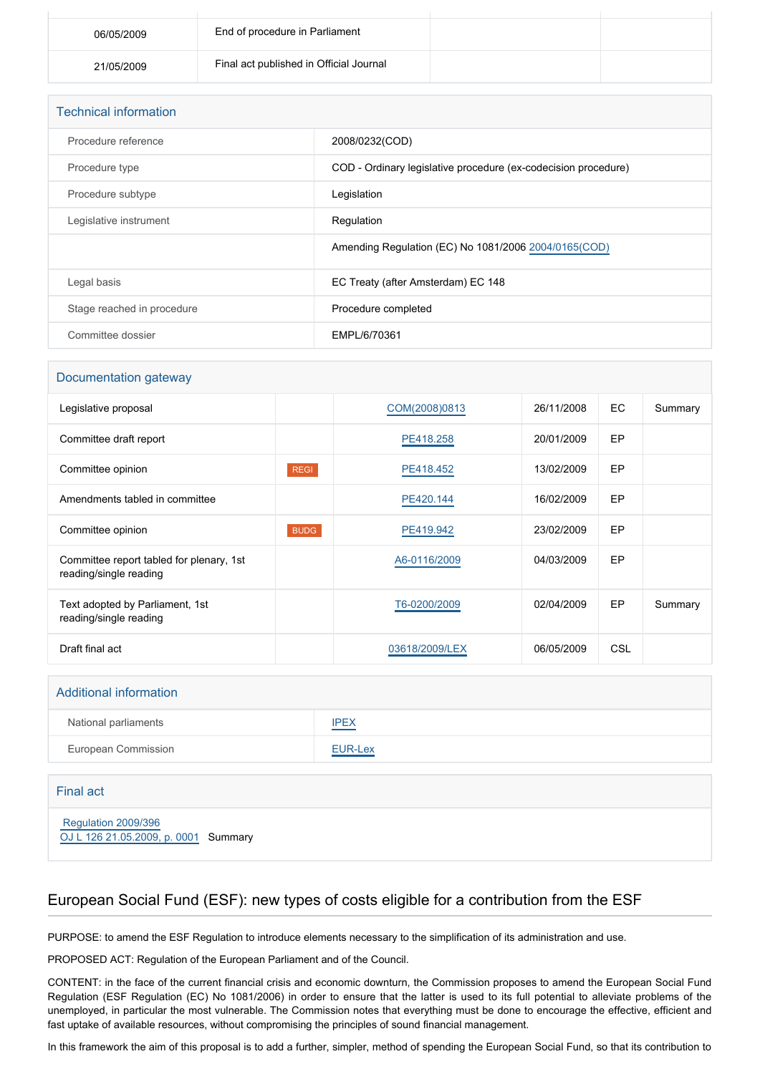| 06/05/2009 | End of procedure in Parliament          |  |
|------------|-----------------------------------------|--|
| 21/05/2009 | Final act published in Official Journal |  |

| <b>Technical information</b> |                                                                |
|------------------------------|----------------------------------------------------------------|
| Procedure reference          | 2008/0232(COD)                                                 |
| Procedure type               | COD - Ordinary legislative procedure (ex-codecision procedure) |
| Procedure subtype            | Legislation                                                    |
| Legislative instrument       | Regulation                                                     |
|                              | Amending Regulation (EC) No 1081/2006 2004/0165(COD)           |
| Legal basis                  | EC Treaty (after Amsterdam) EC 148                             |
| Stage reached in procedure   | Procedure completed                                            |
| Committee dossier            | EMPL/6/70361                                                   |

#### Documentation gateway

| Legislative proposal                                               |             | COM(2008)0813  | 26/11/2008 | EC.        | Summary |
|--------------------------------------------------------------------|-------------|----------------|------------|------------|---------|
| Committee draft report                                             |             | PE418.258      | 20/01/2009 | EP         |         |
| Committee opinion                                                  | <b>REGI</b> | PE418.452      | 13/02/2009 | EP         |         |
| Amendments tabled in committee                                     |             | PE420.144      | 16/02/2009 | EP         |         |
| Committee opinion                                                  | <b>BUDG</b> | PE419.942      | 23/02/2009 | EP         |         |
| Committee report tabled for plenary, 1st<br>reading/single reading |             | A6-0116/2009   | 04/03/2009 | EP         |         |
| Text adopted by Parliament, 1st<br>reading/single reading          |             | T6-0200/2009   | 02/04/2009 | EP         | Summary |
| Draft final act                                                    |             | 03618/2009/LEX | 06/05/2009 | <b>CSL</b> |         |

## Additional information

| National parliaments       | <b>IPEX</b> |
|----------------------------|-------------|
| <b>European Commission</b> | EUR-Lex     |

### Final act

 [Regulation 2009/396](https://eur-lex.europa.eu/smartapi/cgi/sga_doc?smartapi!celexplus!prod!CELEXnumdoc&lg=EN&numdoc=32009R0396) [OJ L 126 21.05.2009, p. 0001](https://eur-lex.europa.eu/JOHtml.do?uri=OJ:L:2009:126:SOM:EN:HTML) Summary

# European Social Fund (ESF): new types of costs eligible for a contribution from the ESF

PURPOSE: to amend the ESF Regulation to introduce elements necessary to the simplification of its administration and use.

PROPOSED ACT: Regulation of the European Parliament and of the Council.

CONTENT: in the face of the current financial crisis and economic downturn, the Commission proposes to amend the European Social Fund Regulation (ESF Regulation (EC) No 1081/2006) in order to ensure that the latter is used to its full potential to alleviate problems of the unemployed, in particular the most vulnerable. The Commission notes that everything must be done to encourage the effective, efficient and fast uptake of available resources, without compromising the principles of sound financial management.

In this framework the aim of this proposal is to add a further, simpler, method of spending the European Social Fund, so that its contribution to